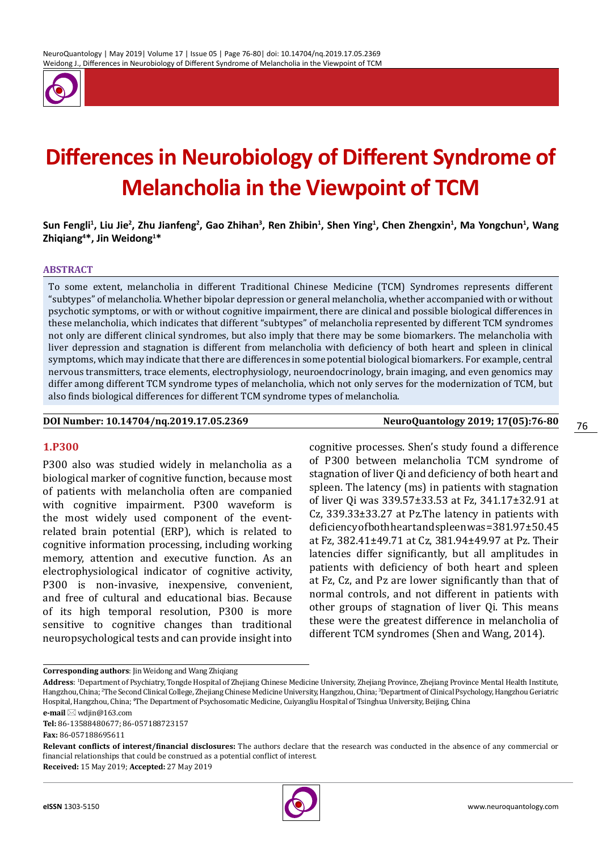

# **Differences in Neurobiology of Different Syndrome of Melancholia in the Viewpoint of TCM**

Sun Fengli<sup>1</sup>, Liu Jie<sup>2</sup>, Zhu Jianfeng<sup>2</sup>, Gao Zhihan<sup>3</sup>, Ren Zhibin<sup>1</sup>, Shen Ying<sup>1</sup>, Chen Zhengxin<sup>1</sup>, Ma Yongchun<sup>1</sup>, Wang **Zhiqiang<sup>4</sup> \*, Jin Weidong<sup>1</sup> \***

#### **ABSTRACT**

To some extent, melancholia in different Traditional Chinese Medicine (TCM) Syndromes represents different "subtypes" of melancholia. Whether bipolar depression or general melancholia, whether accompanied with or without psychotic symptoms, or with or without cognitive impairment, there are clinical and possible biological differences in these melancholia, which indicates that different "subtypes" of melancholia represented by different TCM syndromes not only are different clinical syndromes, but also imply that there may be some biomarkers. The melancholia with liver depression and stagnation is different from melancholia with deficiency of both heart and spleen in clinical symptoms, which may indicate that there are differences in some potential biological biomarkers. For example, central nervous transmitters, trace elements, electrophysiology, neuroendocrinology, brain imaging, and even genomics may differ among different TCM syndrome types of melancholia, which not only serves for the modernization of TCM, but also finds biological differences for different TCM syndrome types of melancholia.

#### **DOI Number: 10.14704/nq.2019.17.05.2369 NeuroQuantology 2019; 17(05):76-80**

76

#### **1.P300**

P300 also was studied widely in melancholia as a biological marker of cognitive function, because most of patients with melancholia often are companied with cognitive impairment. P300 waveform is the most widely used component of the eventrelated brain potential (ERP), which is related to cognitive information processing, including working memory, attention and executive function. As an electrophysiological indicator of cognitive activity, P300 is non-invasive, inexpensive, convenient, and free of cultural and educational bias. Because of its high temporal resolution, P300 is more sensitive to cognitive changes than traditional neuropsychological tests and can provide insight into

cognitive processes. Shen's study found a difference of P300 between melancholia TCM syndrome of stagnation of liver Qi and deficiency of both heart and spleen. The latency (ms) in patients with stagnation of liver Qi was 339.57±33.53 at Fz, 341.17±32.91 at Cz, 339.33±33.27 at Pz.The latency in patients with deficiency of both heart and spleen was =381.97±50.45 at Fz, 382.41±49.71 at Cz, 381.94±49.97 at Pz. Their latencies differ significantly, but all amplitudes in patients with deficiency of both heart and spleen at Fz, Cz, and Pz are lower significantly than that of normal controls, and not different in patients with other groups of stagnation of liver Qi. This means these were the greatest difference in melancholia of different TCM syndromes (Shen and Wang, 2014).



**Corresponding authors**: Jin Weidong and Wang Zhiqiang

**Address**: 1 Department of Psychiatry, Tongde Hospital of Zhejiang Chinese Medicine University, Zhejiang Province, Zhejiang Province Mental Health Institute, Hangzhou, China; 2 The Second Clinical College, Zhejiang Chinese Medicine University, Hangzhou, China; 3 Department of Clinical Psychology, Hangzhou Geriatric Hospital, Hangzhou, China; 4 The Department of Psychosomatic Medicine, Cuiyangliu Hospital of Tsinghua University, Beijing, China

**e-mail** ⊠ wdjin@163.com

**Tel:** 86-13588480677; 86-057188723157

**Fax:** 86-057188695611

**Relevant conflicts of interest/financial disclosures:** The authors declare that the research was conducted in the absence of any commercial or financial relationships that could be construed as a potential conflict of interest.

**Received:** 15 May 2019; **Accepted:** 27 May 2019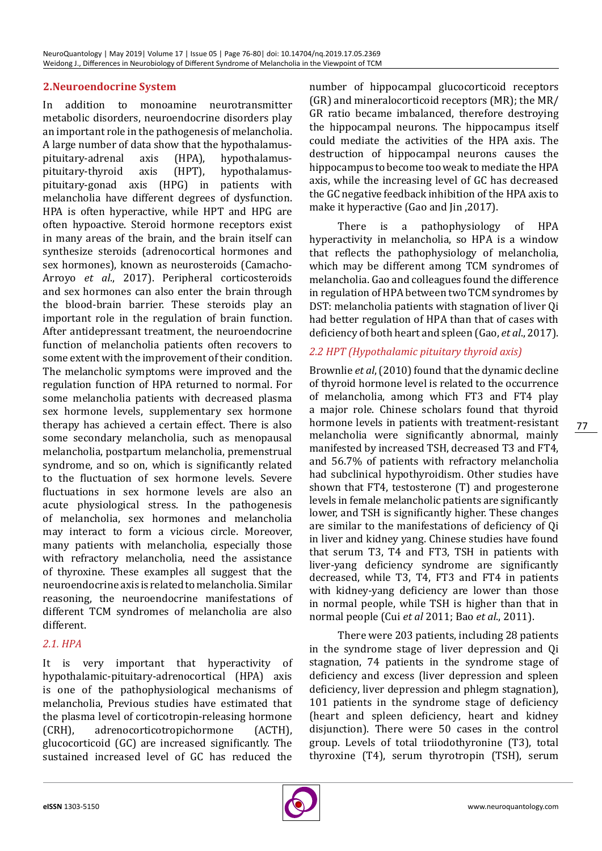#### **2.Neuroendocrine System**

In addition to monoamine neurotransmitter metabolic disorders, neuroendocrine disorders play an important role in the pathogenesis of melancholia. A large number of data show that the hypothalamus-<br>pituitary-adrenal axis (HPA), hypothalamuspituitary-adrenal axis (HPA), hypothalamus-<br>pituitary-thyroid axis (HPT), hypothalamuspituitary-thyroid pituitary-gonad axis (HPG) in patients with melancholia have different degrees of dysfunction. HPA is often hyperactive, while HPT and HPG are often hypoactive. Steroid hormone receptors exist in many areas of the brain, and the brain itself can synthesize steroids (adrenocortical hormones and sex hormones), known as neurosteroids (Camacho-Arroyo *et al*., 2017). Peripheral corticosteroids and sex hormones can also enter the brain through the blood-brain barrier. These steroids play an important role in the regulation of brain function. After antidepressant treatment, the neuroendocrine function of melancholia patients often recovers to some extent with the improvement of their condition. The melancholic symptoms were improved and the regulation function of HPA returned to normal. For some melancholia patients with decreased plasma sex hormone levels, supplementary sex hormone therapy has achieved a certain effect. There is also some secondary melancholia, such as menopausal melancholia, postpartum melancholia, premenstrual syndrome, and so on, which is significantly related to the fluctuation of sex hormone levels. Severe fluctuations in sex hormone levels are also an acute physiological stress. In the pathogenesis of melancholia, sex hormones and melancholia may interact to form a vicious circle. Moreover, many patients with melancholia, especially those with refractory melancholia, need the assistance of thyroxine. These examples all suggest that the neuroendocrine axis is related to melancholia. Similar reasoning, the neuroendocrine manifestations of different TCM syndromes of melancholia are also different.

# *2.1. HPA*

It is very important that hyperactivity of hypothalamic-pituitary-adrenocortical (HPA) axis is one of the pathophysiological mechanisms of melancholia, Previous studies have estimated that the plasma level of corticotropin-releasing hormone (CRH), adrenocorticotropichormone (ACTH), glucocorticoid (GC) are increased significantly. The sustained increased level of GC has reduced the

number of hippocampal glucocorticoid receptors (GR) and mineralocorticoid receptors (MR); the MR/ GR ratio became imbalanced, therefore destroying the hippocampal neurons. The hippocampus itself could mediate the activities of the HPA axis. The destruction of hippocampal neurons causes the hippocampus to become too weak to mediate the HPA axis, while the increasing level of GC has decreased the GC negative feedback inhibition of the HPA axis to make it hyperactive (Gao and Jin ,2017).

There is a pathophysiology of HPA hyperactivity in melancholia, so HPA is a window that reflects the pathophysiology of melancholia, which may be different among TCM syndromes of melancholia. Gao and colleagues found the difference in regulation of HPA between two TCM syndromes by DST: melancholia patients with stagnation of liver Qi had better regulation of HPA than that of cases with deficiency of both heart and spleen (Gao, *et al*., 2017).

# *2.2 HPT (Hypothalamic pituitary thyroid axis)*

Brownlie *et al*, (2010) found that the dynamic decline of thyroid hormone level is related to the occurrence of melancholia, among which FT3 and FT4 play a major role. Chinese scholars found that thyroid hormone levels in patients with treatment-resistant melancholia were significantly abnormal, mainly manifested by increased TSH, decreased T3 and FT4, and 56.7% of patients with refractory melancholia had subclinical hypothyroidism. Other studies have shown that FT4, testosterone (T) and progesterone levels in female melancholic patients are significantly lower, and TSH is significantly higher. These changes are similar to the manifestations of deficiency of Qi in liver and kidney yang. Chinese studies have found that serum T3, T4 and FT3, TSH in patients with liver-yang deficiency syndrome are significantly decreased, while T3, T4, FT3 and FT4 in patients with kidney-yang deficiency are lower than those in normal people, while TSH is higher than that in normal people (Cui *et al* 2011; Bao *et al*., 2011).

There were 203 patients, including 28 patients in the syndrome stage of liver depression and Qi stagnation, 74 patients in the syndrome stage of deficiency and excess (liver depression and spleen deficiency, liver depression and phlegm stagnation), 101 patients in the syndrome stage of deficiency (heart and spleen deficiency, heart and kidney disjunction). There were 50 cases in the control group. Levels of total triiodothyronine (T3), total thyroxine (T4), serum thyrotropin (TSH), serum

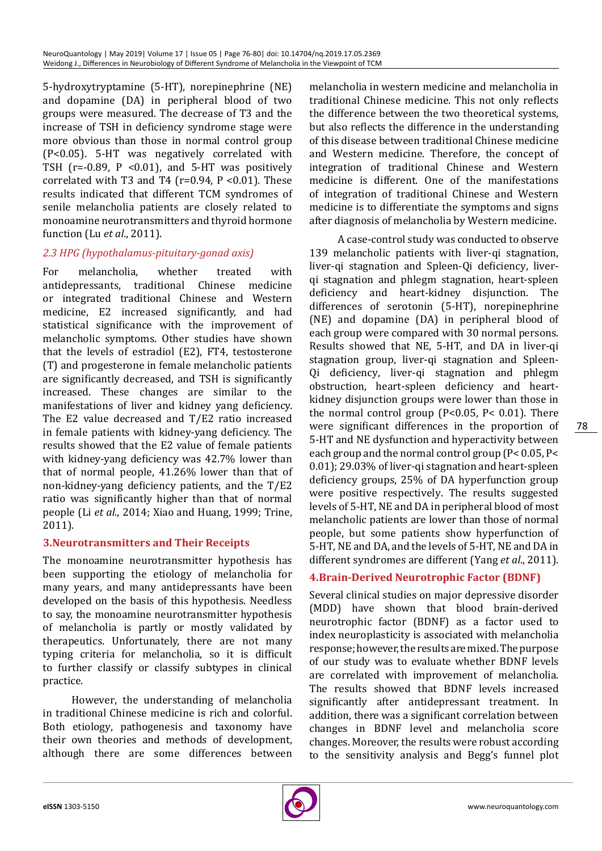5-hydroxytryptamine (5-HT), norepinephrine (NE) and dopamine (DA) in peripheral blood of two groups were measured. The decrease of T3 and the increase of TSH in deficiency syndrome stage were more obvious than those in normal control group (P<0.05). 5-HT was negatively correlated with TSH ( $r=-0.89$ ,  $P < 0.01$ ), and 5-HT was positively correlated with T3 and T4 ( $r=0.94$ ,  $P < 0.01$ ). These results indicated that different TCM syndromes of senile melancholia patients are closely related to monoamine neurotransmitters and thyroid hormone function (Lu *et al*., 2011).

# *2.3 HPG (hypothalamus-pituitary-gonad axis)*

For melancholia, whether treated with<br>antidepressants, traditional Chinese medicine antidepressants. or integrated traditional Chinese and Western medicine, E2 increased significantly, and had statistical significance with the improvement of melancholic symptoms. Other studies have shown that the levels of estradiol (E2), FT4, testosterone (T) and progesterone in female melancholic patients are significantly decreased, and TSH is significantly increased. These changes are similar to the manifestations of liver and kidney yang deficiency. The E2 value decreased and T/E2 ratio increased in female patients with kidney-yang deficiency. The results showed that the E2 value of female patients with kidney-yang deficiency was 42.7% lower than that of normal people, 41.26% lower than that of non-kidney-yang deficiency patients, and the T/E2 ratio was significantly higher than that of normal people (Li *et al*., 2014; Xiao and Huang, 1999; Trine, 2011).

# **3.Neurotransmitters and Their Receipts**

The monoamine neurotransmitter hypothesis has been supporting the etiology of melancholia for many years, and many antidepressants have been developed on the basis of this hypothesis. Needless to say, the monoamine neurotransmitter hypothesis of melancholia is partly or mostly validated by therapeutics. Unfortunately, there are not many typing criteria for melancholia, so it is difficult to further classify or classify subtypes in clinical practice.

However, the understanding of melancholia in traditional Chinese medicine is rich and colorful. Both etiology, pathogenesis and taxonomy have their own theories and methods of development, although there are some differences between

melancholia in western medicine and melancholia in traditional Chinese medicine. This not only reflects the difference between the two theoretical systems, but also reflects the difference in the understanding of this disease between traditional Chinese medicine and Western medicine. Therefore, the concept of integration of traditional Chinese and Western medicine is different. One of the manifestations of integration of traditional Chinese and Western medicine is to differentiate the symptoms and signs after diagnosis of melancholia by Western medicine.

A case-control study was conducted to observe 139 melancholic patients with liver-qi stagnation, liver-qi stagnation and Spleen-Qi deficiency, liverqi stagnation and phlegm stagnation, heart-spleen deficiency and heart-kidney disjunction. The differences of serotonin (5-HT), norepinephrine (NE) and dopamine (DA) in peripheral blood of each group were compared with 30 normal persons. Results showed that NE, 5-HT, and DA in liver-qi stagnation group, liver-qi stagnation and Spleen-Qi deficiency, liver-qi stagnation and phlegm obstruction, heart-spleen deficiency and heartkidney disjunction groups were lower than those in the normal control group ( $P < 0.05$ ,  $P < 0.01$ ). There were significant differences in the proportion of 5-HT and NE dysfunction and hyperactivity between each group and the normal control group (P< 0.05, P< 0.01); 29.03% of liver-qi stagnation and heart-spleen deficiency groups, 25% of DA hyperfunction group were positive respectively. The results suggested levels of 5-HT, NE and DA in peripheral blood of most melancholic patients are lower than those of normal people, but some patients show hyperfunction of 5-HT, NE and DA, and the levels of 5-HT, NE and DA in different syndromes are different (Yang *et al*., 2011).

# **4.Brain-Derived Neurotrophic Factor (BDNF)**

Several clinical studies on major depressive disorder (MDD) have shown that blood brain-derived neurotrophic factor (BDNF) as a factor used to index neuroplasticity is associated with melancholia response; however, the results are mixed. The purpose of our study was to evaluate whether BDNF levels are correlated with improvement of melancholia. The results showed that BDNF levels increased significantly after antidepressant treatment. In addition, there was a significant correlation between changes in BDNF level and melancholia score changes. Moreover, the results were robust according to the sensitivity analysis and Begg's funnel plot

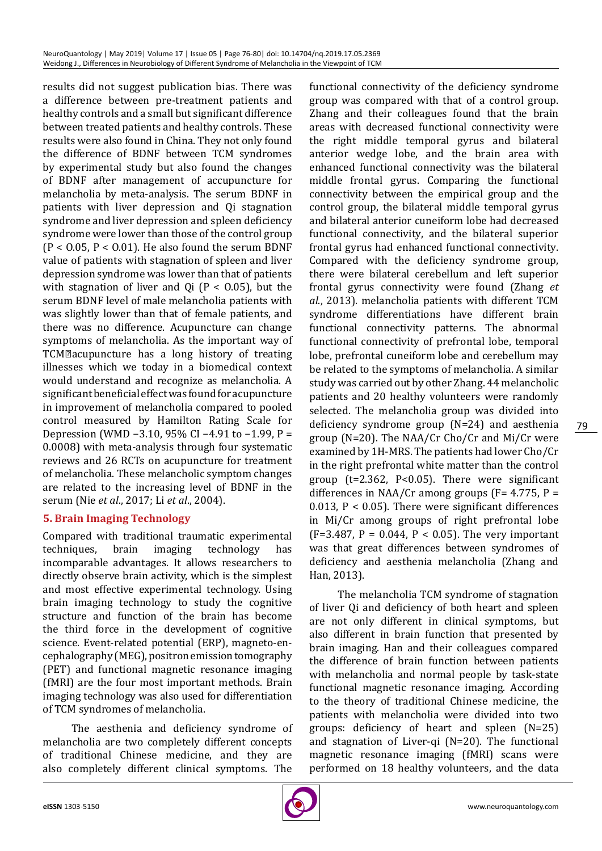results did not suggest publication bias. There was a difference between pre-treatment patients and healthy controls and a small but significant difference between treated patients and healthy controls. These results were also found in China. They not only found the difference of BDNF between TCM syndromes by experimental study but also found the changes of BDNF after management of accupuncture for melancholia by meta-analysis. The serum BDNF in patients with liver depression and Qi stagnation syndrome and liver depression and spleen deficiency syndrome were lower than those of the control group  $(P < 0.05, P < 0.01)$ . He also found the serum BDNF value of patients with stagnation of spleen and liver depression syndrome was lower than that of patients with stagnation of liver and Qi ( $P < 0.05$ ), but the serum BDNF level of male melancholia patients with was slightly lower than that of female patients, and there was no difference. Acupuncture can change symptoms of melancholia. As the important way of TCM.acupuncture has a long history of treating illnesses which we today in a biomedical context would understand and recognize as melancholia. A significant beneficial effect was found for acupuncture in improvement of melancholia compared to pooled control measured by Hamilton Rating Scale for Depression (WMD −3.10, 95% CI −4.91 to −1.99, P = 0.0008) with meta-analysis through four systematic reviews and 26 RCTs on acupuncture for treatment of melancholia. These melancholic symptom changes are related to the increasing level of BDNF in the serum (Nie *et al*., 2017; Li *et al*., 2004).

# **5. Brain Imaging Technology**

Compared with traditional traumatic experimental<br>techniques, brain imaging technology has techniques, brain imaging technology has incomparable advantages. It allows researchers to directly observe brain activity, which is the simplest and most effective experimental technology. Using brain imaging technology to study the cognitive structure and function of the brain has become the third force in the development of cognitive science. Event-related potential (ERP), magneto-encephalography (MEG), positron emission tomography (PET) and functional magnetic resonance imaging (fMRI) are the four most important methods. Brain imaging technology was also used for differentiation of TCM syndromes of melancholia.

The aesthenia and deficiency syndrome of melancholia are two completely different concepts of traditional Chinese medicine, and they are also completely different clinical symptoms. The

functional connectivity of the deficiency syndrome group was compared with that of a control group. Zhang and their colleagues found that the brain areas with decreased functional connectivity were the right middle temporal gyrus and bilateral anterior wedge lobe, and the brain area with enhanced functional connectivity was the bilateral middle frontal gyrus. Comparing the functional connectivity between the empirical group and the control group, the bilateral middle temporal gyrus and bilateral anterior cuneiform lobe had decreased functional connectivity, and the bilateral superior frontal gyrus had enhanced functional connectivity. Compared with the deficiency syndrome group, there were bilateral cerebellum and left superior frontal gyrus connectivity were found (Zhang *et al*., 2013). melancholia patients with different TCM syndrome differentiations have different brain functional connectivity patterns. The abnormal functional connectivity of prefrontal lobe, temporal lobe, prefrontal cuneiform lobe and cerebellum may be related to the symptoms of melancholia. A similar study was carried out by other Zhang. 44 melancholic patients and 20 healthy volunteers were randomly selected. The melancholia group was divided into deficiency syndrome group (N=24) and aesthenia group (N=20). The NAA/Cr Cho/Cr and Mi/Cr were examined by 1H-MRS. The patients had lower Cho/Cr in the right prefrontal white matter than the control group (t=2.362, P<0.05). There were significant differences in NAA/Cr among groups  $(F= 4.775, P=$ 0.013,  $P < 0.05$ ). There were significant differences in Mi/Cr among groups of right prefrontal lobe (F=3.487, P = 0.044, P < 0.05). The very important was that great differences between syndromes of deficiency and aesthenia melancholia (Zhang and Han, 2013).

The melancholia TCM syndrome of stagnation of liver Qi and deficiency of both heart and spleen are not only different in clinical symptoms, but also different in brain function that presented by brain imaging. Han and their colleagues compared the difference of brain function between patients with melancholia and normal people by task-state functional magnetic resonance imaging. According to the theory of traditional Chinese medicine, the patients with melancholia were divided into two groups: deficiency of heart and spleen (N=25) and stagnation of Liver-qi (N=20). The functional magnetic resonance imaging (fMRI) scans were performed on 18 healthy volunteers, and the data